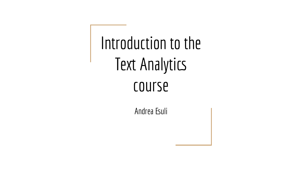Introduction to the Text Analytics course

Andrea Esuli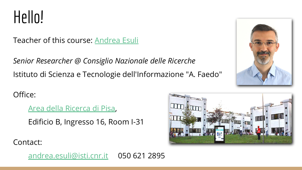Hello!

Teacher of this course: **[Andrea Esuli](http://esuli.it)** 

*Senior Researcher @ Consiglio Nazionale delle Ricerche* Istituto di Scienza e Tecnologie dell'Informazione "A. Faedo"

Office:

[Area della Ricerca di Pisa,](http://www.area.pi.cnr.it/)

Edificio B, Ingresso 16, Room I-31



Contact:

[andrea.esuli@isti.cnr.it](mailto:andrea.esuli@isti.cnr.it) 050 621 2895

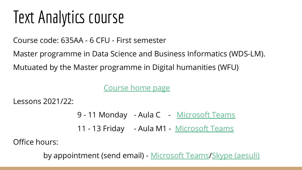# Text Analytics course

Course code: 635AA - 6 CFU - First semester

Master programme in Data Science and Business Informatics (WDS-LM). Mutuated by the Master programme in Digital humanities (WFU)

[Course home page](http://didawiki.di.unipi.it/doku.php/mds/txa/start)

Lessons 2021/22:

- 9 11 Monday Aula C [Microsoft Teams](https://teams.microsoft.com/l/channel/19%3aPNQvMI4MdxtWb0_5d1r1UoIPA9QHxRe6kOuZ9VHTG-I1%40thread.tacv2/General?groupId=109c5615-d2be-49ef-848f-85c7aa07de5b&tenantId=c7456b31-a220-47f5-be52-473828670aa1)
- 11 13 Friday Aula M1 [Microsoft Teams](https://teams.microsoft.com/l/channel/19%3aPNQvMI4MdxtWb0_5d1r1UoIPA9QHxRe6kOuZ9VHTG-I1%40thread.tacv2/General?groupId=109c5615-d2be-49ef-848f-85c7aa07de5b&tenantId=c7456b31-a220-47f5-be52-473828670aa1)

Office hours:

by appointment (send email) - [Microsoft Teams/](https://teams.microsoft.com/l/channel/19%3aPNQvMI4MdxtWb0_5d1r1UoIPA9QHxRe6kOuZ9VHTG-I1%40thread.tacv2/General?groupId=109c5615-d2be-49ef-848f-85c7aa07de5b&tenantId=c7456b31-a220-47f5-be52-473828670aa1)[Skype \(aesuli\)](https://join.skype.com/invite/mhLTuCp25wmL)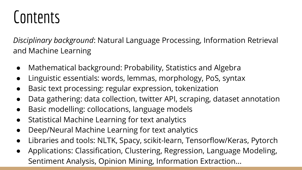# Contents

*Disciplinary background*: Natural Language Processing, Information Retrieval and Machine Learning

- Mathematical background: Probability, Statistics and Algebra
- Linguistic essentials: words, lemmas, morphology, PoS, syntax
- Basic text processing: regular expression, tokenization
- Data gathering: data collection, twitter API, scraping, dataset annotation
- Basic modelling: collocations, language models
- Statistical Machine Learning for text analytics
- Deep/Neural Machine Learning for text analytics
- Libraries and tools: NLTK, Spacy, scikit-learn, Tensorflow/Keras, Pytorch
- Applications: Classification, Clustering, Regression, Language Modeling, Sentiment Analysis, Opinion Mining, Information Extraction...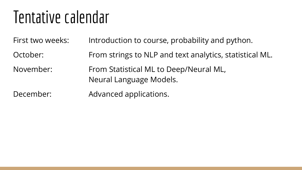## Tentative calendar

| First two weeks: | Introduction to course, probability and python.                   |
|------------------|-------------------------------------------------------------------|
| October:         | From strings to NLP and text analytics, statistical ML.           |
| November:        | From Statistical ML to Deep/Neural ML,<br>Neural Language Models. |
| December:        | Advanced applications.                                            |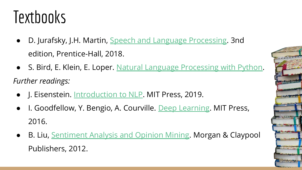# **Textbooks**

- D. Jurafsky, J.H. Martin, [Speech and Language Processing.](https://web.stanford.edu/~jurafsky/slp3/) 3nd edition, Prentice-Hall, 2018.
- S. Bird, E. Klein, E. Loper. [Natural Language Processing with Python](http://www.nltk.org/book/). *Further readings:*
	- J. Eisenstein. [Introduction to NLP](http://cseweb.ucsd.edu/~nnakashole/teaching/eisenstein-nov18.pdf). MIT Press, 2019.
	- I. Goodfellow, Y. Bengio, A. Courville. [Deep Learning.](https://www.deeplearningbook.org/) MIT Press, 2016.
	- B. Liu, [Sentiment Analysis and Opinion Mining.](https://www.cs.uic.edu/~liub/FBS/SentimentAnalysis-and-OpinionMining.pdf) Morgan & Claypool Publishers, 2012.

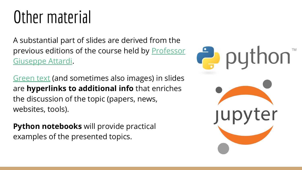# Other material

A substantial part of slides are derived from the previous editions of the course held by [Professor](http://pages.di.unipi.it/attardi/) [Giuseppe Attardi.](http://pages.di.unipi.it/attardi/)

[Green text](https://stackoverflow.com/) (and sometimes also images) in slides are **hyperlinks to additional info** that enriches the discussion of the topic (papers, news, websites, tools).

**Python notebooks** will provide practical examples of the presented topics.